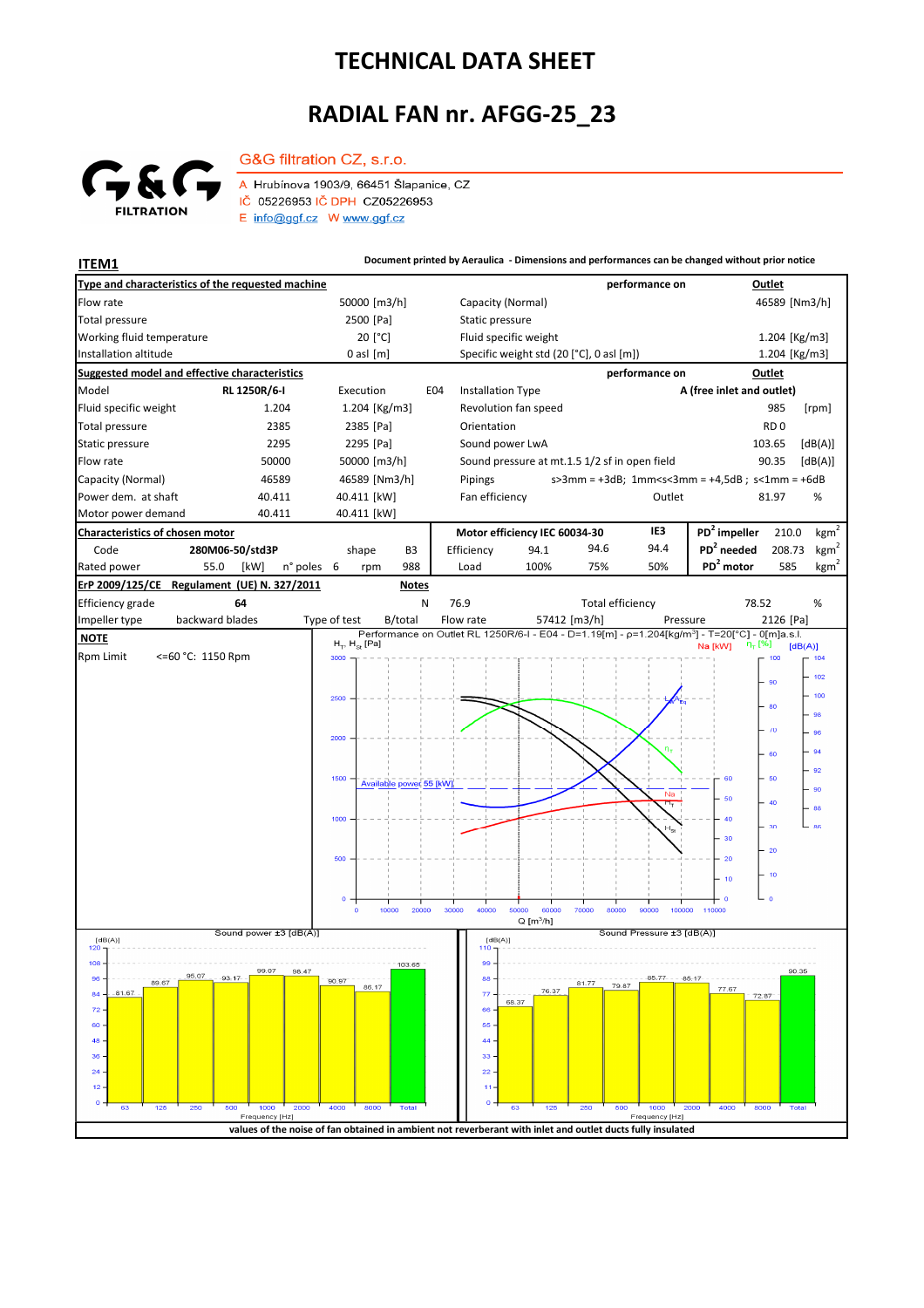## **TECHNICAL DATA SHEET**

## **RADIAL FAN nr. AFGG-25\_23**



A Hrubínova 1903/9, 66451 Šlapanice, CZ IČ 05226953 IČ DPH CZ05226953 E info@ggf.cz W www.ggf.cz

G&G filtration CZ, s.r.o.

**ITEM1 Document printed by Aeraulica - Dimensions and performances can be changed without prior notice**

| Type and characteristics of the requested machine                                                           |                          |                                                                                                            |                         |                 |                                                                                             |                                          | performance on           |                                                                                                            | Outlet          |                  |  |
|-------------------------------------------------------------------------------------------------------------|--------------------------|------------------------------------------------------------------------------------------------------------|-------------------------|-----------------|---------------------------------------------------------------------------------------------|------------------------------------------|--------------------------|------------------------------------------------------------------------------------------------------------|-----------------|------------------|--|
| Flow rate                                                                                                   |                          | 50000 [m3/h]                                                                                               |                         |                 | Capacity (Normal)                                                                           |                                          |                          |                                                                                                            | 46589 [Nm3/h]   |                  |  |
| Total pressure                                                                                              | 2500 [Pa]                |                                                                                                            |                         | Static pressure |                                                                                             |                                          |                          |                                                                                                            |                 |                  |  |
| Working fluid temperature                                                                                   |                          | 20 [°C]                                                                                                    |                         |                 | Fluid specific weight                                                                       |                                          |                          |                                                                                                            | 1.204 [Kg/m3]   |                  |  |
| Installation altitude                                                                                       |                          | $0$ asl $[m]$                                                                                              |                         |                 |                                                                                             | Specific weight std (20 [°C], 0 asl [m]) |                          |                                                                                                            | 1.204 [Kg/m3]   |                  |  |
| Suggested model and effective characteristics                                                               |                          |                                                                                                            |                         |                 |                                                                                             |                                          | performance on           |                                                                                                            | Outlet          |                  |  |
| Model                                                                                                       | RL 1250R/6-I             | Execution                                                                                                  |                         | E04             | <b>Installation Type</b>                                                                    |                                          |                          | A (free inlet and outlet)                                                                                  |                 |                  |  |
| Fluid specific weight                                                                                       | 1.204                    | 1.204 [Kg/m3]                                                                                              |                         |                 | Revolution fan speed                                                                        |                                          |                          |                                                                                                            | 985             | [rpm]            |  |
| Total pressure                                                                                              | 2385                     | 2385 [Pa]                                                                                                  |                         | Orientation     |                                                                                             |                                          |                          |                                                                                                            | RD <sub>0</sub> |                  |  |
| Static pressure                                                                                             | 2295                     | 2295 [Pa]                                                                                                  |                         |                 | Sound power LwA                                                                             |                                          |                          |                                                                                                            | 103.65          | [dB(A)]          |  |
| Flow rate                                                                                                   | 50000                    | 50000 [m3/h]                                                                                               |                         |                 | Sound pressure at mt.1.5 1/2 sf in open field                                               | 90.35<br>[dB(A)]                         |                          |                                                                                                            |                 |                  |  |
| Capacity (Normal)                                                                                           | 46589<br>46589 [Nm3/h]   |                                                                                                            |                         |                 | $s > 3$ mm = +3dB; 1mm <s<3mm +4,5db;="" =="" s<1mm="+6dB&lt;br">Pipings<br/>Outlet</s<3mm> |                                          |                          |                                                                                                            |                 |                  |  |
| Power dem. at shaft<br>40.411<br>40.411                                                                     |                          | 40.411 [kW]<br>40.411 [kW]                                                                                 |                         |                 | Fan efficiency                                                                              |                                          |                          |                                                                                                            | 81.97           | %                |  |
| Motor power demand                                                                                          |                          |                                                                                                            |                         | IE3             | PD <sup>2</sup> impeller                                                                    | 210.0                                    | kgm <sup>2</sup>         |                                                                                                            |                 |                  |  |
| Characteristics of chosen motor<br>Code<br>280M06-50/std3P                                                  |                          | B3                                                                                                         |                         | Efficiency      | Motor efficiency IEC 60034-30<br>94.6<br>94.1                                               |                                          | 94.4                     | $PD2$ needed                                                                                               | 208.73          | kgm <sup>2</sup> |  |
| Rated power<br>55.0                                                                                         | n° poles 6<br>[kW]       | shape<br>rpm                                                                                               | 988                     | Load            | 100%                                                                                        | 75%                                      | 50%                      | PD <sup>2</sup> motor                                                                                      | 585             | kgm <sup>2</sup> |  |
| ErP 2009/125/CE                                                                                             |                          |                                                                                                            | <b>Notes</b>            |                 |                                                                                             |                                          |                          |                                                                                                            |                 |                  |  |
| Regulament (UE) N. 327/2011<br>N<br>Efficiency grade<br>64<br>76.9<br><b>Total efficiency</b><br>78.52<br>% |                          |                                                                                                            |                         |                 |                                                                                             |                                          |                          |                                                                                                            |                 |                  |  |
| Impeller type                                                                                               | backward blades          | Type of test                                                                                               | B/total                 | Flow rate       |                                                                                             | 57412 [m3/h]                             | Pressure                 |                                                                                                            | 2126 [Pa]       |                  |  |
| <b>NOTE</b>                                                                                                 |                          |                                                                                                            |                         |                 |                                                                                             |                                          |                          | Performance on Outlet RL 1250R/6-I - E04 - D=1.19[m] - p=1.204[kg/m <sup>3</sup> ] - T=20[°C] - 0[m]a.s.l. |                 |                  |  |
| Rpm Limit<br><=60 °C: 1150 Rpm                                                                              |                          | $H_T$ , $H_{St}$ [Pa]<br>3000                                                                              |                         |                 |                                                                                             |                                          |                          | $\eta_{\tau}$ [%]<br>Na [kW]                                                                               | [dB(A)]<br>100  | $-104$           |  |
|                                                                                                             |                          |                                                                                                            |                         |                 |                                                                                             |                                          |                          |                                                                                                            |                 | 102              |  |
|                                                                                                             |                          |                                                                                                            |                         |                 |                                                                                             |                                          |                          |                                                                                                            | 90              | 100              |  |
|                                                                                                             |                          | 2500                                                                                                       |                         |                 |                                                                                             |                                          |                          |                                                                                                            | 80              | 98               |  |
|                                                                                                             |                          |                                                                                                            |                         |                 |                                                                                             |                                          |                          |                                                                                                            | $\sqrt{0}$      | 96               |  |
|                                                                                                             |                          | 2000                                                                                                       |                         |                 |                                                                                             |                                          |                          |                                                                                                            |                 |                  |  |
|                                                                                                             |                          |                                                                                                            |                         |                 |                                                                                             |                                          |                          |                                                                                                            | 60              | 94               |  |
|                                                                                                             |                          | 1500                                                                                                       | Available power 55 [kW] |                 |                                                                                             |                                          |                          | 60                                                                                                         | 50              | 92               |  |
|                                                                                                             |                          |                                                                                                            |                         |                 |                                                                                             |                                          | Na<br>Ħ,                 | 50                                                                                                         | 40              | 90               |  |
|                                                                                                             |                          | 1000                                                                                                       |                         |                 |                                                                                             |                                          |                          |                                                                                                            |                 | 88               |  |
|                                                                                                             |                          |                                                                                                            |                         |                 |                                                                                             |                                          |                          | 30                                                                                                         | 30              | 86               |  |
|                                                                                                             |                          | 500                                                                                                        |                         |                 |                                                                                             |                                          |                          | 20                                                                                                         | $-20$           |                  |  |
|                                                                                                             |                          |                                                                                                            |                         |                 |                                                                                             |                                          |                          |                                                                                                            | 10              |                  |  |
|                                                                                                             |                          |                                                                                                            |                         |                 |                                                                                             |                                          |                          | 10                                                                                                         |                 |                  |  |
|                                                                                                             |                          | $\Omega$<br>$\circ$                                                                                        | 10000<br>20000          | 30000<br>40000  | 50000                                                                                       | 60000<br>70000                           | 80000<br>90000<br>100000 | 110000                                                                                                     | $\Omega$        |                  |  |
|                                                                                                             |                          |                                                                                                            |                         |                 | $Q$ [m <sup>3</sup> /h]                                                                     |                                          |                          |                                                                                                            |                 |                  |  |
| Sound power ±3 [dB(A)]<br>[dB(A)]<br>120                                                                    |                          |                                                                                                            |                         |                 | Sound Pressure ±3 [dB(A)]<br>[dB(A)]<br>110                                                 |                                          |                          |                                                                                                            |                 |                  |  |
| 108                                                                                                         |                          |                                                                                                            | 103.65                  | 99              |                                                                                             |                                          |                          |                                                                                                            |                 |                  |  |
| 96<br>89.67                                                                                                 | 99.07<br>98.47<br>93, 17 | 90.97                                                                                                      |                         | 88              |                                                                                             | 81.77                                    | 85.77<br>79.87           | $-85 - 17$                                                                                                 | 90.35           |                  |  |
| $-81.67$<br>84                                                                                              |                          | 86.17                                                                                                      |                         | 77              | 68.37                                                                                       | 76.37                                    |                          | 77.67<br>72.87                                                                                             |                 |                  |  |
| 72                                                                                                          |                          |                                                                                                            |                         | 66              |                                                                                             |                                          |                          |                                                                                                            |                 |                  |  |
| 60<br>48                                                                                                    |                          |                                                                                                            |                         | 55<br>44        |                                                                                             |                                          |                          |                                                                                                            |                 |                  |  |
| 36                                                                                                          |                          |                                                                                                            |                         | 33              |                                                                                             |                                          |                          |                                                                                                            |                 |                  |  |
| 24                                                                                                          |                          |                                                                                                            |                         | 22              |                                                                                             |                                          |                          |                                                                                                            |                 |                  |  |
| 12                                                                                                          |                          |                                                                                                            |                         |                 |                                                                                             |                                          |                          |                                                                                                            |                 |                  |  |
| o<br>125<br>250<br>63                                                                                       | 1000<br>500<br>2000      | 4000<br>8000                                                                                               | Total                   | o               | 63                                                                                          | 250<br>125                               | 500<br>1000              | 2000<br>4000<br>8000                                                                                       |                 |                  |  |
|                                                                                                             | Frequency [Hz]           |                                                                                                            |                         |                 |                                                                                             |                                          | Frequency [Hz]           |                                                                                                            |                 |                  |  |
|                                                                                                             |                          | values of the noise of fan obtained in ambient not reverberant with inlet and outlet ducts fully insulated |                         |                 |                                                                                             |                                          |                          |                                                                                                            |                 |                  |  |